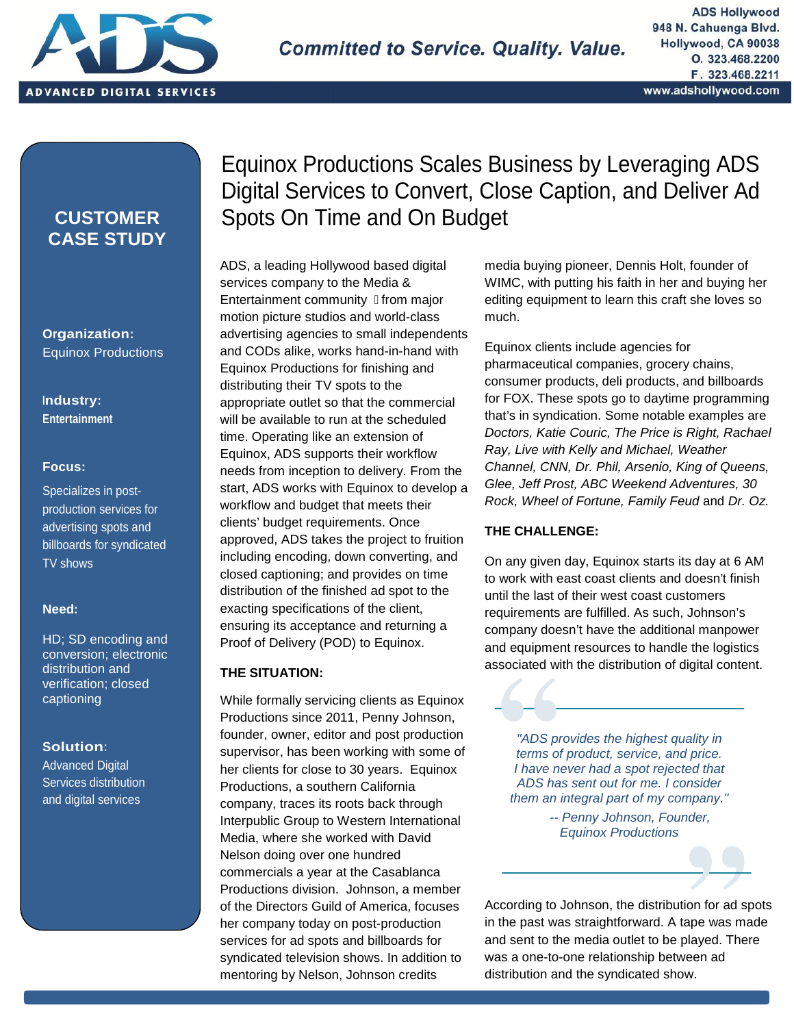

, distribution and digital services  $\mathcal{L}_{\mathcal{S}}$ 

### **CUSTOMER CASE STUDY**

**Organization:** Equinox Productions

### **Industry: Entertainment**

### **Focus:**

Specializes in post production services for advertising spots and billboards for syndicated TV shows

### **Need:**

HD; SD encoding and conversion; electronic distribution and verification; closed captioning

### **Solution:**

Advanced Digital Services distribution and digital services

# Equinox Productions Scales Business by Leveraging ADS Digital Services to Convert, Close Caption, and Deliver Ad Spots On Time and On Budget

ADS, a leading Hollywood based digital services company to the Media & Entertainment community ̶ from major motion picture studios and world-class advertising agencies to small independents and CODs alike, works hand-in-hand with Equinox Productions for finishing and distributing their TV spots to the appropriate outlet so that the commercial will be available to run at the scheduled time. Operating like an extension of Equinox, ADS supports their workflow needs from inception to delivery. From the start, ADS works with Equinox to develop a workflow and budget that meets their clients' budget requirements. Once approved, ADS takes the project to fruition including encoding, down converting, and closed captioning; and provides on time distribution of the finished ad spot to the exacting specifications of the client, ensuring its acceptance and returning a Proof of Delivery (POD) to Equinox.

### **THE SITUATION:**

While formally servicing clients as Equinox Productions since 2011, Penny Johnson, founder, owner, editor and post production supervisor, has been working with some of her clients for close to 30 years. Equinox Productions, a southern California company, traces its roots back through Interpublic Group to Western International Media, where she worked with David Nelson doing over one hundred commercials a year at the Casablanca Productions division. Johnson, a member of the Directors Guild of America, focuses her company today on post-production services for ad spots and billboards for syndicated television shows. In addition to mentoring by Nelson, Johnson credits

media buying pioneer, Dennis Holt, founder of WIMC, with putting his faith in her and buying her editing equipment to learn this craft she loves so much.

Equinox clients include agencies for pharmaceutical companies, grocery chains, consumer products, deli products, and billboards for FOX. These spots go to daytime programming that's in syndication. Some notable examples are *Doctors, Katie Couric, The Price is Right, Rachael Ray, Live with Kelly and Michael, Weather Channel, CNN, Dr. Phil, Arsenio, King of Queens, Glee, Jeff Prost, ABC Weekend Adventures, 30 Rock, Wheel of Fortune, Family Feud* and *Dr. Oz.*

### **THE CHALLENGE:**

On any given day, Equinox starts its day at 6 AM to work with east coast clients and doesn't finish until the last of their west coast customers requirements are fulfilled. As such, Johnson's company doesn't have the additional manpower and equipment resources to handle the logistics associated with the distribution of digital content.

*"ADS provides the highest quality in terms of product, service, and price. I have never had a spot rejected that ADS has sent out for me. I consider them an integral part of my company."*

> *-- Penny Johnson, Founder, Equinox Productions*

According to Johnson, the distribution for ad spots in the past was straightforward. A tape was made and sent to the media outlet to be played. There was a one-to-one relationship between ad distribution and the syndicated show.